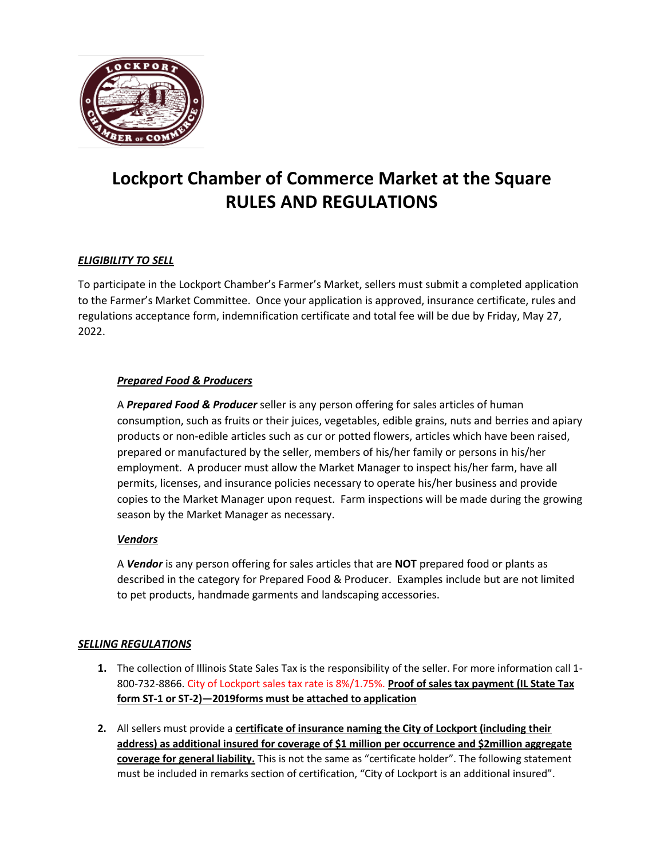

## *ELIGIBILITY TO SELL*

To participate in the Lockport Chamber's Farmer's Market, sellers must submit a completed application to the Farmer's Market Committee. Once your application is approved, insurance certificate, rules and regulations acceptance form, indemnification certificate and total fee will be due by Friday, May 27, 2022.

## *Prepared Food & Producers*

A *Prepared Food & Producer* seller is any person offering for sales articles of human consumption, such as fruits or their juices, vegetables, edible grains, nuts and berries and apiary products or non-edible articles such as cur or potted flowers, articles which have been raised, prepared or manufactured by the seller, members of his/her family or persons in his/her employment. A producer must allow the Market Manager to inspect his/her farm, have all permits, licenses, and insurance policies necessary to operate his/her business and provide copies to the Market Manager upon request. Farm inspections will be made during the growing season by the Market Manager as necessary.

### *Vendors*

A *Vendor* is any person offering for sales articles that are **NOT** prepared food or plants as described in the category for Prepared Food & Producer. Examples include but are not limited to pet products, handmade garments and landscaping accessories.

### *SELLING REGULATIONS*

- **1.** The collection of Illinois State Sales Tax is the responsibility of the seller. For more information call 1- 800-732-8866. City of Lockport sales tax rate is 8%/1.75%. **Proof of sales tax payment (IL State Tax form ST-1 or ST-2)—2019forms must be attached to application**
- **2.** All sellers must provide a **certificate of insurance naming the City of Lockport (including their address) as additional insured for coverage of \$1 million per occurrence and \$2million aggregate coverage for general liability.** This is not the same as "certificate holder". The following statement must be included in remarks section of certification, "City of Lockport is an additional insured".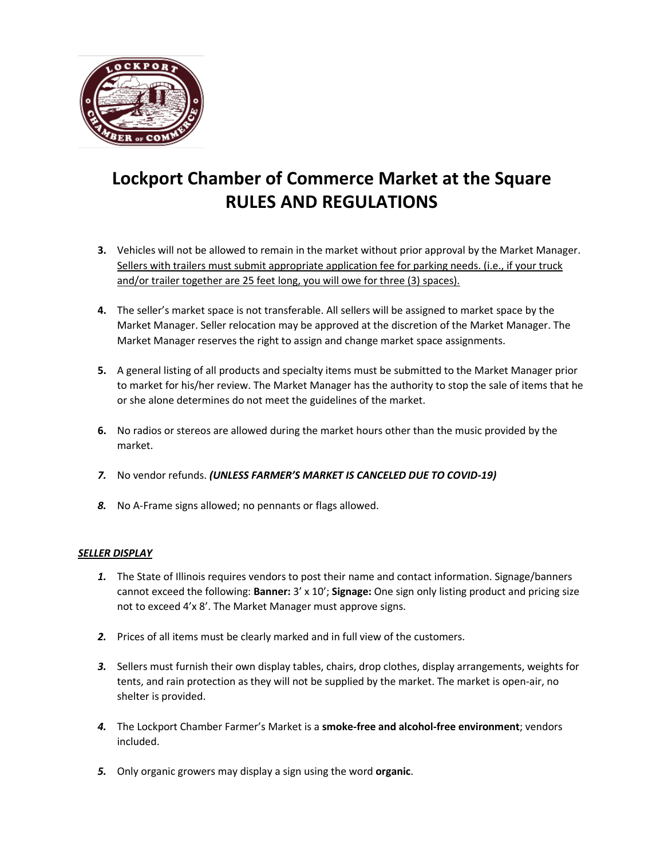

- **3.** Vehicles will not be allowed to remain in the market without prior approval by the Market Manager. Sellers with trailers must submit appropriate application fee for parking needs. (i.e., if your truck and/or trailer together are 25 feet long, you will owe for three (3) spaces).
- **4.** The seller's market space is not transferable. All sellers will be assigned to market space by the Market Manager. Seller relocation may be approved at the discretion of the Market Manager. The Market Manager reserves the right to assign and change market space assignments.
- **5.** A general listing of all products and specialty items must be submitted to the Market Manager prior to market for his/her review. The Market Manager has the authority to stop the sale of items that he or she alone determines do not meet the guidelines of the market.
- **6.** No radios or stereos are allowed during the market hours other than the music provided by the market.
- *7.* No vendor refunds. *(UNLESS FARMER'S MARKET IS CANCELED DUE TO COVID-19)*
- *8.* No A-Frame signs allowed; no pennants or flags allowed.

### *SELLER DISPLAY*

- *1.* The State of Illinois requires vendors to post their name and contact information. Signage/banners cannot exceed the following: **Banner:** 3' x 10'; **Signage:** One sign only listing product and pricing size not to exceed 4'x 8'. The Market Manager must approve signs.
- *2.* Prices of all items must be clearly marked and in full view of the customers.
- *3.* Sellers must furnish their own display tables, chairs, drop clothes, display arrangements, weights for tents, and rain protection as they will not be supplied by the market. The market is open-air, no shelter is provided.
- *4.* The Lockport Chamber Farmer's Market is a **smoke-free and alcohol-free environment**; vendors included.
- *5.* Only organic growers may display a sign using the word **organic**.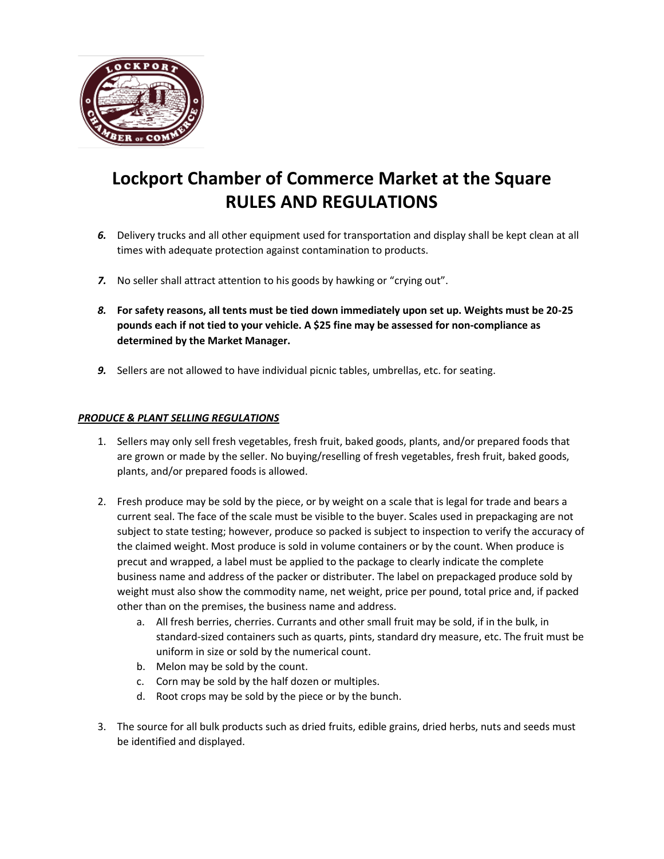

- *6.* Delivery trucks and all other equipment used for transportation and display shall be kept clean at all times with adequate protection against contamination to products.
- *7.* No seller shall attract attention to his goods by hawking or "crying out".
- *8.* **For safety reasons, all tents must be tied down immediately upon set up. Weights must be 20-25 pounds each if not tied to your vehicle. A \$25 fine may be assessed for non-compliance as determined by the Market Manager.**
- *9.* Sellers are not allowed to have individual picnic tables, umbrellas, etc. for seating.

#### *PRODUCE & PLANT SELLING REGULATIONS*

- 1. Sellers may only sell fresh vegetables, fresh fruit, baked goods, plants, and/or prepared foods that are grown or made by the seller. No buying/reselling of fresh vegetables, fresh fruit, baked goods, plants, and/or prepared foods is allowed.
- 2. Fresh produce may be sold by the piece, or by weight on a scale that is legal for trade and bears a current seal. The face of the scale must be visible to the buyer. Scales used in prepackaging are not subject to state testing; however, produce so packed is subject to inspection to verify the accuracy of the claimed weight. Most produce is sold in volume containers or by the count. When produce is precut and wrapped, a label must be applied to the package to clearly indicate the complete business name and address of the packer or distributer. The label on prepackaged produce sold by weight must also show the commodity name, net weight, price per pound, total price and, if packed other than on the premises, the business name and address.
	- a. All fresh berries, cherries. Currants and other small fruit may be sold, if in the bulk, in standard-sized containers such as quarts, pints, standard dry measure, etc. The fruit must be uniform in size or sold by the numerical count.
	- b. Melon may be sold by the count.
	- c. Corn may be sold by the half dozen or multiples.
	- d. Root crops may be sold by the piece or by the bunch.
- 3. The source for all bulk products such as dried fruits, edible grains, dried herbs, nuts and seeds must be identified and displayed.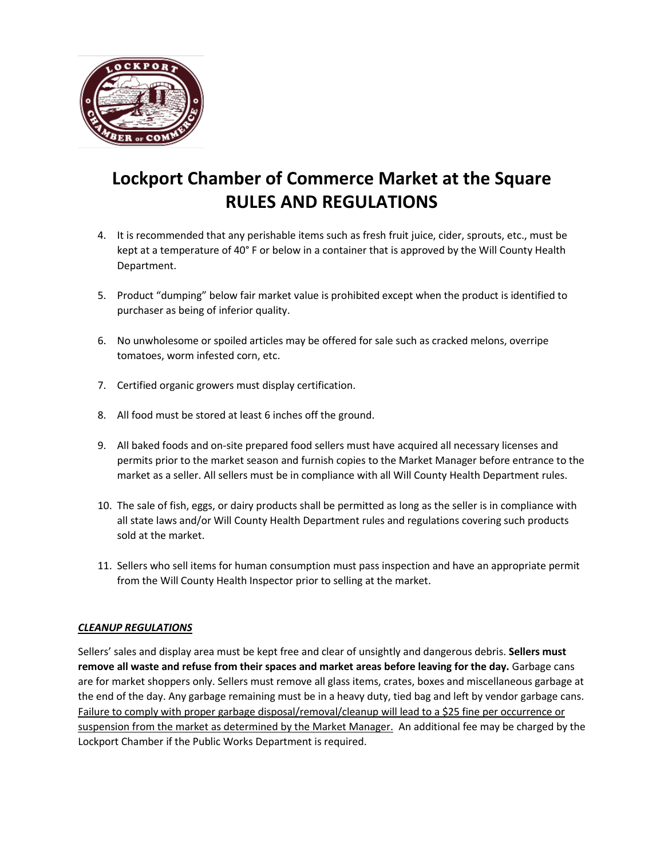

- 4. It is recommended that any perishable items such as fresh fruit juice, cider, sprouts, etc., must be kept at a temperature of 40° F or below in a container that is approved by the Will County Health Department.
- 5. Product "dumping" below fair market value is prohibited except when the product is identified to purchaser as being of inferior quality.
- 6. No unwholesome or spoiled articles may be offered for sale such as cracked melons, overripe tomatoes, worm infested corn, etc.
- 7. Certified organic growers must display certification.
- 8. All food must be stored at least 6 inches off the ground.
- 9. All baked foods and on-site prepared food sellers must have acquired all necessary licenses and permits prior to the market season and furnish copies to the Market Manager before entrance to the market as a seller. All sellers must be in compliance with all Will County Health Department rules.
- 10. The sale of fish, eggs, or dairy products shall be permitted as long as the seller is in compliance with all state laws and/or Will County Health Department rules and regulations covering such products sold at the market.
- 11. Sellers who sell items for human consumption must pass inspection and have an appropriate permit from the Will County Health Inspector prior to selling at the market.

### *CLEANUP REGULATIONS*

Sellers' sales and display area must be kept free and clear of unsightly and dangerous debris. **Sellers must remove all waste and refuse from their spaces and market areas before leaving for the day.** Garbage cans are for market shoppers only. Sellers must remove all glass items, crates, boxes and miscellaneous garbage at the end of the day. Any garbage remaining must be in a heavy duty, tied bag and left by vendor garbage cans. Failure to comply with proper garbage disposal/removal/cleanup will lead to a \$25 fine per occurrence or suspension from the market as determined by the Market Manager. An additional fee may be charged by the Lockport Chamber if the Public Works Department is required.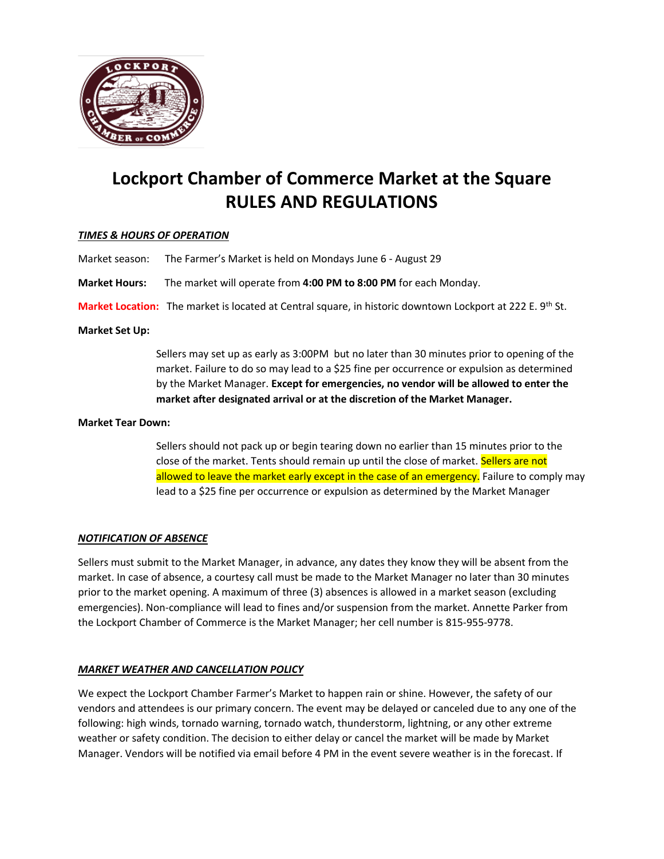

### *TIMES & HOURS OF OPERATION*

Market season: The Farmer's Market is held on Mondays June 6 - August 29

**Market Hours:** The market will operate from **4:00 PM to 8:00 PM** for each Monday.

**Market Location:** The market is located at Central square, in historic downtown Lockport at 222 E. 9th St.

#### **Market Set Up:**

Sellers may set up as early as 3:00PM but no later than 30 minutes prior to opening of the market. Failure to do so may lead to a \$25 fine per occurrence or expulsion as determined by the Market Manager. **Except for emergencies, no vendor will be allowed to enter the market after designated arrival or at the discretion of the Market Manager.** 

#### **Market Tear Down:**

Sellers should not pack up or begin tearing down no earlier than 15 minutes prior to the close of the market. Tents should remain up until the close of market. Sellers are not allowed to leave the market early except in the case of an emergency. Failure to comply may lead to a \$25 fine per occurrence or expulsion as determined by the Market Manager

#### *NOTIFICATION OF ABSENCE*

Sellers must submit to the Market Manager, in advance, any dates they know they will be absent from the market. In case of absence, a courtesy call must be made to the Market Manager no later than 30 minutes prior to the market opening. A maximum of three (3) absences is allowed in a market season (excluding emergencies). Non-compliance will lead to fines and/or suspension from the market. Annette Parker from the Lockport Chamber of Commerce is the Market Manager; her cell number is 815-955-9778.

### *MARKET WEATHER AND CANCELLATION POLICY*

We expect the Lockport Chamber Farmer's Market to happen rain or shine. However, the safety of our vendors and attendees is our primary concern. The event may be delayed or canceled due to any one of the following: high winds, tornado warning, tornado watch, thunderstorm, lightning, or any other extreme weather or safety condition. The decision to either delay or cancel the market will be made by Market Manager. Vendors will be notified via email before 4 PM in the event severe weather is in the forecast. If